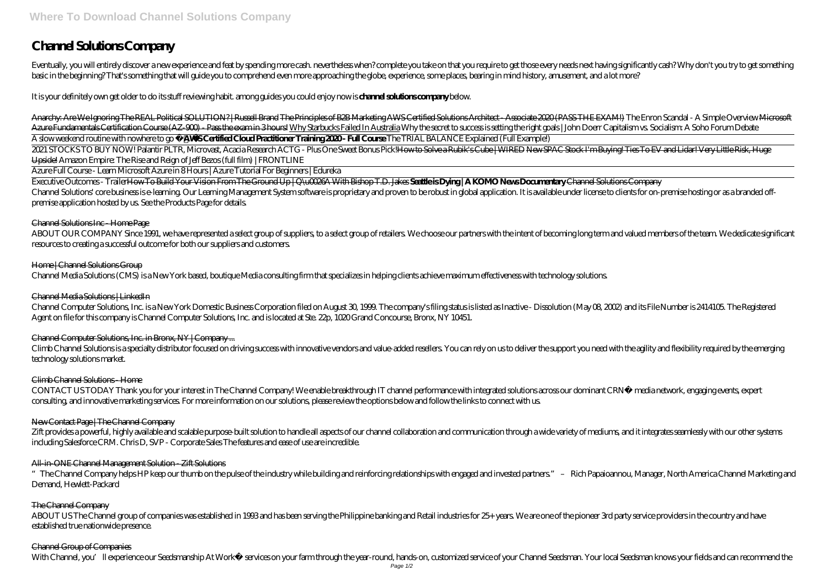# **Channel Solutions Company**

Eventually, you will entirely discover a new experience and feat by spending more cash, nevertheless when? complete you take on that you require to get those every needs next having significantly cash? Why don't you try to basic in the beginning? That's something that will guide you to comprehend even more approaching the globe, experience, some places, bearing in mind history, amusement, and a lot more?

It is your definitely own get older to do its stuff reviewing habit. among guides you could enjoy now is **channel solutions company** below.

2021 STOCKS TO BUY NOW! Palantir PLTR, Microvast, Acacia Research ACTG - Plus One Sweet Bonus Pick!<del>How to Solve a Rubik's Cube | WIRED</del> New SPAC Stock I'm Buying! Ties To EV and Lidar! Very Little Risk, Huge Upside! Amazon Empire: The Rise and Reign of Jeff Bezos (full film) | FRONTLINE

Anarchy: Are We Ignoring The REAL Political SOLUTION? | Russell Brand The Principles of B2B Marketing AWS Certified Solutions Architect - Associate 2020 (PASS THE EXAM!) *The Enron Scandal - A Simple Overview* Microsoft Azure Fundamentals Certification Course (AZ-900) - Pass the exam in 3 hours! Why Starbucks Failed In Australia *Why the secret to success is setting the right goals | John Doerr Capitalism vs. Socialism: A Soho Forum Debat* A slow weekend routine with nowhere to go **AWS Certified Cloud Practitioner Training 2020 - Full Course** *The TRIAL BALANCE Explained (Full Example!)*

ABOUT OUR COMPANY Since 1991, we have represented a select group of suppliers, to a select group of retailers. We choose our partners with the intent of becoming long term and valued members of the team. We dedicate signif resources to creating a successful outcome for both our suppliers and customers.

# Home | Channel Solutions Group

Channel Computer Solutions, Inc. is a New York Domestic Business Corporation filed on August 30, 1999. The company's filing status is listed as Inactive - Dissolution (May O8, 2002) and its File Number is 2414105. The Regi Agent on file for this company is Channel Computer Solutions, Inc. and is located at Ste. 22p, 1020 Grand Concourse, Bronx, NY 10451.

Azure Full Course - Learn Microsoft Azure in 8 Hours | Azure Tutorial For Beginners | Edureka

Climb Channel Solutions is a specialty distributor focused on driving success with innovative vendors and value-added resellers. You can rely on us to deliver the support you need with the agility and flexibility required technology solutions market.

Executive Outcomes - TrailerHow To Build Your Vision From The Ground Up | Q\u0026A With Bishop T.D. Jakes **Seattle is Dying | A KOMO News Documentary** Channel Solutions Company Channel Solutions' core business is e-learning. Our Learning Management System software is proprietary and proven to be robust in global application. It is available under license to clients for on-premise hosting or as a premise application hosted by us. See the Products Page for details.

Zift provides a powerful, highly available and scalable purpose-built solution to handle all aspects of our channel collaboration and communication through a wide variety of mediums, and it integrates seamlessly with our o including Salesforce CRM. Chris D, SVP - Corporate Sales The features and ease of use are incredible.

# All in-ONE Channel Management Solution - Zift Solutions

# Channel Solutions Inc - Home Page

Channel Media Solutions (CMS) is a New York based, boutique Media consulting firm that specializes in helping clients achieve maximum effectiveness with technology solutions.

# Channel Media Solutions | LinkedIn

# Channel Computer Solutions, Inc. in Bronx, NY | Company ...

# Climb Channel Solutions - Home

CONTACT US TODAY Thank you for your interest in The Channel Company! We enable breakthrough IT channel performance with integrated solutions across our dominant CRN® media network, engaging events, expert consulting, and innovative marketing services. For more information on our solutions, please review the options below and follow the links to connect with us.

# New Contact Page | The Channel Company

"The Channel Company helps HP keep our thumb on the pulse of the industry while building and reinforcing relationships with engaged and invested partners." – Rich Papaioannou, Manager, North America Channel Marketing and Demand, Hewlett-Packard

# The Channel Company

ABOUT US The Channel group of companies was established in 1993 and has been serving the Philippine banking and Retail industries for 25+ years. We are one of the pioneer 3rd party service providers in the country and have established true nationwide presence.

# Channel Group of Companies

With Channel, you'll experience our Seedsmanship At Work® services on your farm through the year-round, hands-on, customized service of your Channel Seedsman. Your local Seedsman knows your fields and can recommend the